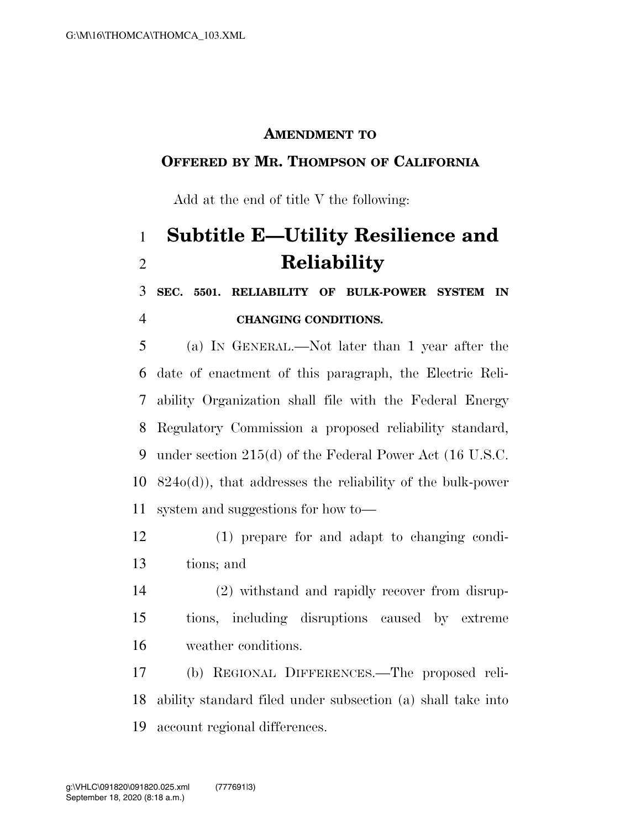#### **AMENDMENT TO**

### **OFFERED BY MR. THOMPSON OF CALIFORNIA**

Add at the end of title V the following:

# **Subtitle E—Utility Resilience and Reliability**

 **SEC. 5501. RELIABILITY OF BULK-POWER SYSTEM IN CHANGING CONDITIONS.** 

 (a) IN GENERAL.—Not later than 1 year after the date of enactment of this paragraph, the Electric Reli- ability Organization shall file with the Federal Energy Regulatory Commission a proposed reliability standard, under section 215(d) of the Federal Power Act (16 U.S.C. 824o(d)), that addresses the reliability of the bulk-power system and suggestions for how to—

- (1) prepare for and adapt to changing condi-tions; and
- (2) withstand and rapidly recover from disrup- tions, including disruptions caused by extreme weather conditions.

 (b) REGIONAL DIFFERENCES.—The proposed reli- ability standard filed under subsection (a) shall take into account regional differences.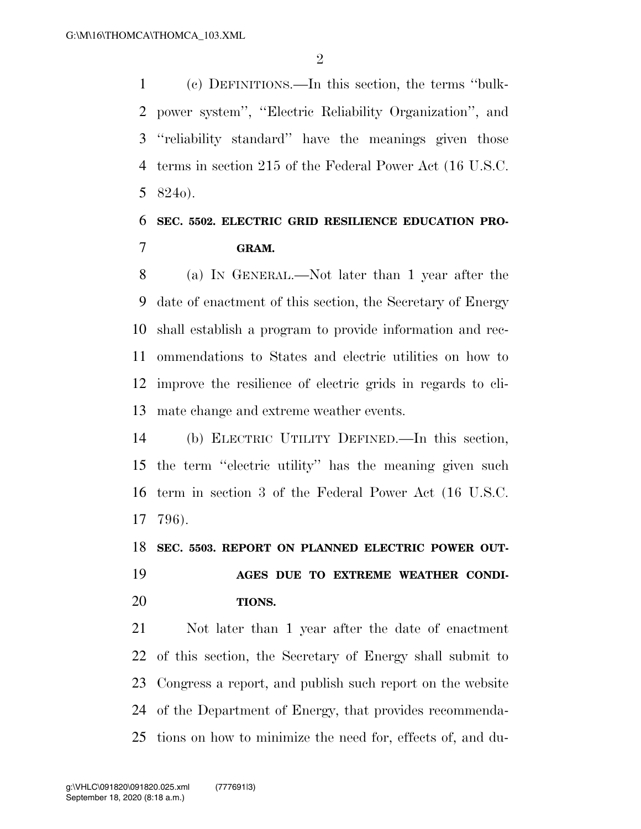(c) DEFINITIONS.—In this section, the terms ''bulk- power system'', ''Electric Reliability Organization'', and ''reliability standard'' have the meanings given those terms in section 215 of the Federal Power Act (16 U.S.C. 824o).

### **SEC. 5502. ELECTRIC GRID RESILIENCE EDUCATION PRO-GRAM.**

 (a) IN GENERAL.—Not later than 1 year after the date of enactment of this section, the Secretary of Energy shall establish a program to provide information and rec- ommendations to States and electric utilities on how to improve the resilience of electric grids in regards to cli-mate change and extreme weather events.

 (b) ELECTRIC UTILITY DEFINED.—In this section, the term ''electric utility'' has the meaning given such term in section 3 of the Federal Power Act (16 U.S.C. 796).

 **SEC. 5503. REPORT ON PLANNED ELECTRIC POWER OUT- AGES DUE TO EXTREME WEATHER CONDI-TIONS.** 

 Not later than 1 year after the date of enactment of this section, the Secretary of Energy shall submit to Congress a report, and publish such report on the website of the Department of Energy, that provides recommenda-tions on how to minimize the need for, effects of, and du